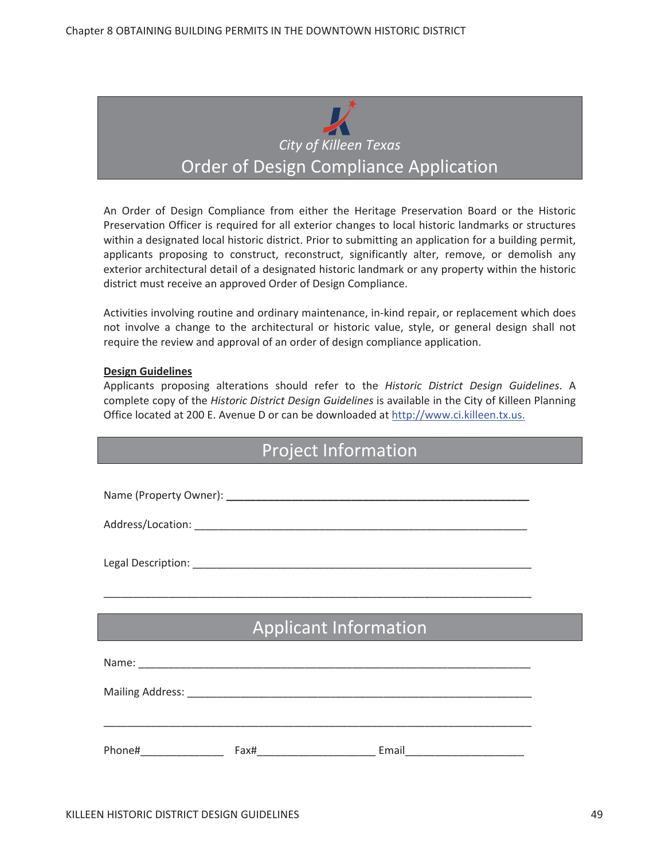

An Order of Design Compliance from either the Heritage Preservation Board or the Historic Preservation Officer is required for all exterior changes to local historic landmarks or structures within a designated local historic district. Prior to submitting an application for a building permit, applicants proposing to construct, reconstruct, significantly alter, remove, or demolish any exterior architectural detail of a designated historic landmark or any property within the historic district must receive an approved Order of Design Compliance.

Activities involving routine and ordinary maintenance, in-kind repair, or replacement which does not involve a change to the architectural or historic value, style, or general design shall not require the review and approval of an order of design compliance application.

#### **Design Guidelines**

Applicants proposing alterations should refer to the *Historic District Design Guidelines*. A complete copy of the *Historic District Design Guidelines* is available in the City of Killeen Planning Office located at 200 E. Avenue D or can be downloaded at http://www.ci.killeen.tx.us.

| <b>Project Information</b> |  |                                                                                                                       |  |
|----------------------------|--|-----------------------------------------------------------------------------------------------------------------------|--|
|                            |  |                                                                                                                       |  |
|                            |  |                                                                                                                       |  |
|                            |  |                                                                                                                       |  |
|                            |  |                                                                                                                       |  |
|                            |  |                                                                                                                       |  |
|                            |  | <u> 1989 - Johann Stoff, deutscher Stoff, der Stoff, der Stoff, der Stoff, der Stoff, der Stoff, der Stoff, der S</u> |  |
|                            |  | <b>Applicant Information</b>                                                                                          |  |
|                            |  |                                                                                                                       |  |
|                            |  |                                                                                                                       |  |
|                            |  |                                                                                                                       |  |
|                            |  |                                                                                                                       |  |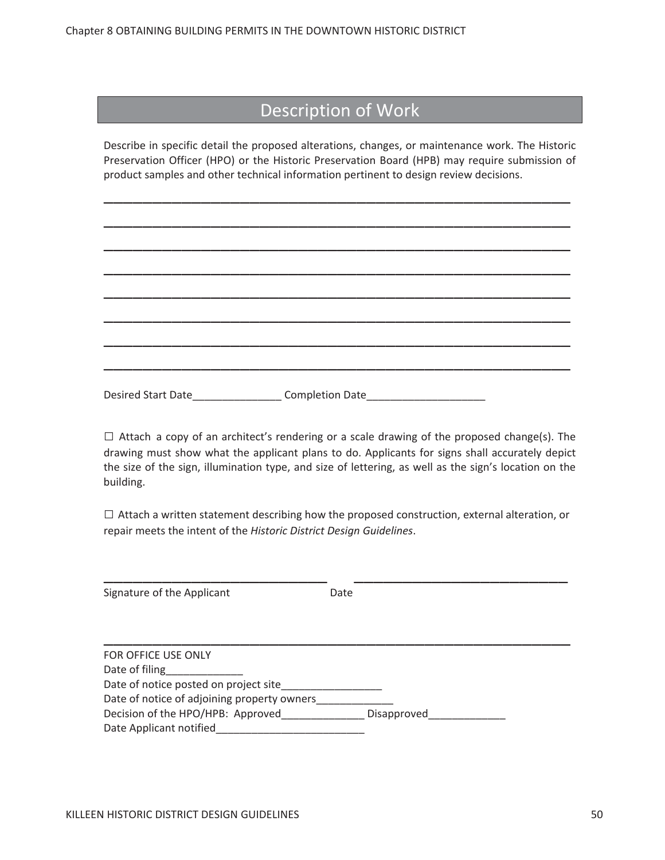#### Description of Work

Describe in specific detail the proposed alterations, changes, or maintenance work. The Historic Preservation Officer (HPO) or the Historic Preservation Board (HPB) may require submission of product samples and other technical information pertinent to design review decisions.

\_\_\_\_\_\_\_\_\_\_\_\_\_\_\_\_\_\_\_\_\_\_\_\_\_\_\_\_\_\_\_\_\_\_\_\_\_\_\_\_\_\_\_\_\_\_\_\_

\_\_\_\_\_\_\_\_\_\_\_\_\_\_\_\_\_\_\_\_\_\_\_\_\_\_\_\_\_\_\_\_\_\_\_\_\_\_\_\_\_\_\_\_\_\_\_\_

\_\_\_\_\_\_\_\_\_\_\_\_\_\_\_\_\_\_\_\_\_\_\_\_\_\_\_\_\_\_\_\_\_\_\_\_\_\_\_\_\_\_\_\_\_\_\_\_

\_\_\_\_\_\_\_\_\_\_\_\_\_\_\_\_\_\_\_\_\_\_\_\_\_\_\_\_\_\_\_\_\_\_\_\_\_\_\_\_\_\_\_\_\_\_\_\_

\_\_\_\_\_\_\_\_\_\_\_\_\_\_\_\_\_\_\_\_\_\_\_\_\_\_\_\_\_\_\_\_\_\_\_\_\_\_\_\_\_\_\_\_\_\_\_\_

\_\_\_\_\_\_\_\_\_\_\_\_\_\_\_\_\_\_\_\_\_\_\_\_\_\_\_\_\_\_\_\_\_\_\_\_\_\_\_\_\_\_\_\_\_\_\_\_

\_\_\_\_\_\_\_\_\_\_\_\_\_\_\_\_\_\_\_\_\_\_\_\_\_\_\_\_\_\_\_\_\_\_\_\_\_\_\_\_\_\_\_\_\_\_\_\_

\_\_\_\_\_\_\_\_\_\_\_\_\_\_\_\_\_\_\_\_\_\_\_\_\_\_\_\_\_\_\_\_\_\_\_\_\_\_\_\_\_\_\_\_\_\_\_\_

Desired Start Date The Completion Date

 $\Box$  Attach a copy of an architect's rendering or a scale drawing of the proposed change(s). The drawing must show what the applicant plans to do. Applicants for signs shall accurately depict the size of the sign, illumination type, and size of lettering, as well as the sign's location on the building.

**ɷ** Attach <sup>a</sup> written statement describing how the proposed construction, external alteration, or repair meets the intent of the *Historic District Design Guidelines*.

\_\_\_\_\_\_\_\_\_\_\_\_\_\_\_\_\_\_\_\_\_\_\_\_\_\_\_\_\_\_\_\_\_\_\_\_\_\_\_\_\_\_\_\_\_

\_\_\_\_\_\_\_\_\_\_\_\_\_\_\_\_\_\_\_\_\_\_\_\_\_\_\_\_\_\_\_\_\_\_\_\_\_\_\_\_\_\_\_\_\_\_\_\_

| Signature of the Applicant | Date |
|----------------------------|------|
|----------------------------|------|

| FOR OFFICE USE ONLY                         |             |
|---------------------------------------------|-------------|
| Date of filing                              |             |
| Date of notice posted on project site       |             |
| Date of notice of adjoining property owners |             |
| Decision of the HPO/HPB: Approved           | Disapproved |
| Date Applicant notified                     |             |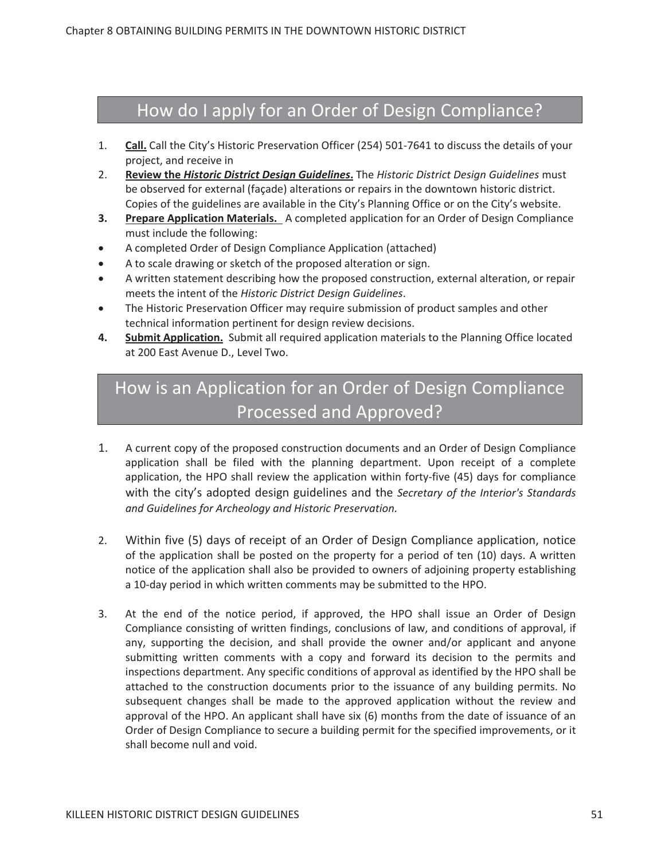### How do I apply for an Order of Design Compliance?

- 1. **Call.** Call the City's Historic Preservation Officer (254) 501-7641 to discuss the details of your project, and receive in
- 2. **Review the** *Historic District Design Guidelines***.** The *Historic District Design Guidelines* must be observed for external (façade) alterations or repairs in the downtown historic district. Copies of the guidelines are available in the City's Planning Office or on the City's website.
- **3. Prepare Application Materials.** A completed application for an Order of Design Compliance must include the following:
- A completed Order of Design Compliance Application (attached)
- A to scale drawing or sketch of the proposed alteration or sign.
- A written statement describing how the proposed construction, external alteration, or repair meets the intent of the *Historic District Design Guidelines*.
- The Historic Preservation Officer may require submission of product samples and other technical information pertinent for design review decisions.
- 4. Submit Application. Submit all required application materials to the Planning Office located at 200 East Avenue D., Level Two.

# How is an Application for an Order of Design Compliance Processed and Approved?

- 1. A current copy of the proposed construction documents and an Order of Design Compliance application shall be filed with the planning department. Upon receipt of a complete application, the HPO shall review the application within forty-five (45) days for compliance with the city's adopted design guidelines and the *Secretary of the Interior's Standards and Guidelines for Archeology and Historic Preservation.*
- 2. Within five (5) days of receipt of an Order of Design Compliance application, notice of the application shall be posted on the property for a period of ten (10) days. A written notice of the application shall also be provided to owners of adjoining property establishing a 10-day period in which written comments may be submitted to the HPO.
- 3. At the end of the notice period, if approved, the HPO shall issue an Order of Design Compliance consisting of written findings, conclusions of law, and conditions of approval, if any, supporting the decision, and shall provide the owner and/or applicant and anyone submitting written comments with a copy and forward its decision to the permits and inspections department. Any specific conditions of approval as identified by the HPO shall be attached to the construction documents prior to the issuance of any building permits. No subsequent changes shall be made to the approved application without the review and approval of the HPO. An applicant shall have six (6) months from the date of issuance of an Order of Design Compliance to secure a building permit for the specified improvements, or it shall become null and void.